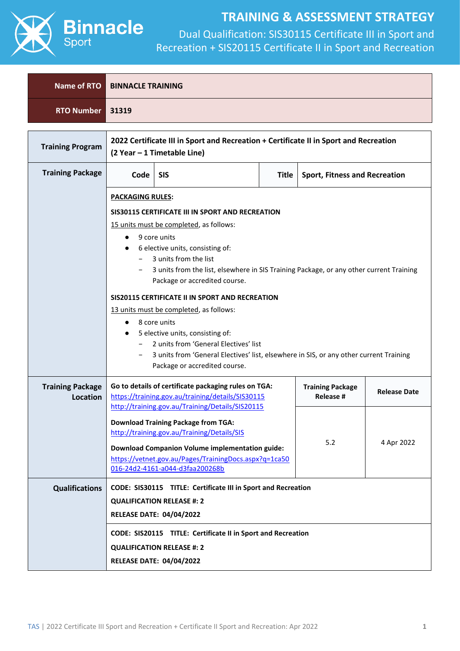

| Name of RTO                                | <b>BINNACLE TRAINING</b>                                                                                                                                                                                                                                                                                                 |                                                                                                                                                                                                                                                                                                                                                                                                                                                                                                                                                                                                                      |  |                                             |                     |  |  |  |
|--------------------------------------------|--------------------------------------------------------------------------------------------------------------------------------------------------------------------------------------------------------------------------------------------------------------------------------------------------------------------------|----------------------------------------------------------------------------------------------------------------------------------------------------------------------------------------------------------------------------------------------------------------------------------------------------------------------------------------------------------------------------------------------------------------------------------------------------------------------------------------------------------------------------------------------------------------------------------------------------------------------|--|---------------------------------------------|---------------------|--|--|--|
| <b>RTO Number</b>                          | 31319                                                                                                                                                                                                                                                                                                                    |                                                                                                                                                                                                                                                                                                                                                                                                                                                                                                                                                                                                                      |  |                                             |                     |  |  |  |
| <b>Training Program</b>                    |                                                                                                                                                                                                                                                                                                                          | 2022 Certificate III in Sport and Recreation + Certificate II in Sport and Recreation<br>(2 Year - 1 Timetable Line)                                                                                                                                                                                                                                                                                                                                                                                                                                                                                                 |  |                                             |                     |  |  |  |
| <b>Training Package</b>                    | <b>SIS</b><br>Code<br><b>Title</b><br><b>Sport, Fitness and Recreation</b>                                                                                                                                                                                                                                               |                                                                                                                                                                                                                                                                                                                                                                                                                                                                                                                                                                                                                      |  |                                             |                     |  |  |  |
|                                            | $\bullet$<br>Package or accredited course.                                                                                                                                                                                                                                                                               | <b>PACKAGING RULES:</b><br>SIS30115 CERTIFICATE III IN SPORT AND RECREATION<br>15 units must be completed, as follows:<br>9 core units<br>6 elective units, consisting of:<br>3 units from the list<br>3 units from the list, elsewhere in SIS Training Package, or any other current Training<br>Package or accredited course.<br>SIS20115 CERTIFICATE II IN SPORT AND RECREATION<br>13 units must be completed, as follows:<br>8 core units<br>5 elective units, consisting of:<br>2 units from 'General Electives' list<br>3 units from 'General Electives' list, elsewhere in SIS, or any other current Training |  |                                             |                     |  |  |  |
| <b>Training Package</b><br><b>Location</b> |                                                                                                                                                                                                                                                                                                                          | Go to details of certificate packaging rules on TGA:<br>https://training.gov.au/training/details/SIS30115                                                                                                                                                                                                                                                                                                                                                                                                                                                                                                            |  | <b>Training Package</b><br><b>Release #</b> | <b>Release Date</b> |  |  |  |
|                                            | http://training.gov.au/Training/Details/SIS20115<br><b>Download Training Package from TGA:</b><br>http://training.gov.au/Training/Details/SIS<br>5.2<br>4 Apr 2022<br><b>Download Companion Volume implementation guide:</b><br>https://vetnet.gov.au/Pages/TrainingDocs.aspx?q=1ca50<br>016-24d2-4161-a044-d3faa200268b |                                                                                                                                                                                                                                                                                                                                                                                                                                                                                                                                                                                                                      |  |                                             |                     |  |  |  |
| <b>Qualifications</b>                      |                                                                                                                                                                                                                                                                                                                          | CODE: SIS30115 TITLE: Certificate III in Sport and Recreation<br><b>QUALIFICATION RELEASE #: 2</b><br><b>RELEASE DATE: 04/04/2022</b>                                                                                                                                                                                                                                                                                                                                                                                                                                                                                |  |                                             |                     |  |  |  |
|                                            |                                                                                                                                                                                                                                                                                                                          | CODE: SIS20115 TITLE: Certificate II in Sport and Recreation<br><b>QUALIFICATION RELEASE #: 2</b><br><b>RELEASE DATE: 04/04/2022</b>                                                                                                                                                                                                                                                                                                                                                                                                                                                                                 |  |                                             |                     |  |  |  |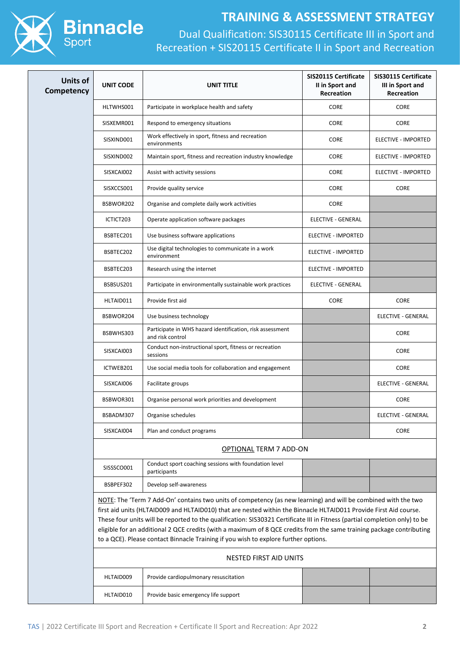

| <b>Units of</b><br>Competency | <b>UNIT CODE</b>              | UNIT TITLE                                                                                                                                                                                                                                                                                                                                                                                                                                                                                                                                                                         | SIS20115 Certificate<br>II in Sport and<br>Recreation | SIS30115 Certificate<br>III in Sport and<br><b>Recreation</b> |  |  |
|-------------------------------|-------------------------------|------------------------------------------------------------------------------------------------------------------------------------------------------------------------------------------------------------------------------------------------------------------------------------------------------------------------------------------------------------------------------------------------------------------------------------------------------------------------------------------------------------------------------------------------------------------------------------|-------------------------------------------------------|---------------------------------------------------------------|--|--|
|                               | HLTWHS001                     | Participate in workplace health and safety                                                                                                                                                                                                                                                                                                                                                                                                                                                                                                                                         | CORE                                                  | CORE                                                          |  |  |
|                               | SISXEMR001                    | Respond to emergency situations                                                                                                                                                                                                                                                                                                                                                                                                                                                                                                                                                    | CORE                                                  | <b>CORE</b>                                                   |  |  |
|                               | SISXIND001                    | Work effectively in sport, fitness and recreation<br>environments                                                                                                                                                                                                                                                                                                                                                                                                                                                                                                                  | CORE                                                  | ELECTIVE - IMPORTED                                           |  |  |
|                               | SISXIND002                    | Maintain sport, fitness and recreation industry knowledge                                                                                                                                                                                                                                                                                                                                                                                                                                                                                                                          | CORE                                                  | ELECTIVE - IMPORTED                                           |  |  |
|                               | SISXCAI002                    | Assist with activity sessions                                                                                                                                                                                                                                                                                                                                                                                                                                                                                                                                                      | CORE                                                  | ELECTIVE - IMPORTED                                           |  |  |
|                               | SISXCCS001                    | Provide quality service                                                                                                                                                                                                                                                                                                                                                                                                                                                                                                                                                            | CORE                                                  | <b>CORE</b>                                                   |  |  |
|                               | BSBWOR202                     | Organise and complete daily work activities                                                                                                                                                                                                                                                                                                                                                                                                                                                                                                                                        | CORE                                                  |                                                               |  |  |
|                               | ICTICT203                     | Operate application software packages                                                                                                                                                                                                                                                                                                                                                                                                                                                                                                                                              | <b>ELECTIVE - GENERAL</b>                             |                                                               |  |  |
|                               | BSBTEC201                     | Use business software applications                                                                                                                                                                                                                                                                                                                                                                                                                                                                                                                                                 | ELECTIVE - IMPORTED                                   |                                                               |  |  |
|                               | BSBTEC202                     | Use digital technologies to communicate in a work<br>environment                                                                                                                                                                                                                                                                                                                                                                                                                                                                                                                   | <b>ELECTIVE - IMPORTED</b>                            |                                                               |  |  |
|                               | BSBTEC203                     | Research using the internet                                                                                                                                                                                                                                                                                                                                                                                                                                                                                                                                                        | ELECTIVE - IMPORTED                                   |                                                               |  |  |
|                               | BSBSUS201                     | Participate in environmentally sustainable work practices                                                                                                                                                                                                                                                                                                                                                                                                                                                                                                                          | <b>ELECTIVE - GENERAL</b>                             |                                                               |  |  |
|                               | HLTAID011                     | Provide first aid                                                                                                                                                                                                                                                                                                                                                                                                                                                                                                                                                                  | CORE                                                  | <b>CORE</b>                                                   |  |  |
|                               | BSBWOR204                     | Use business technology                                                                                                                                                                                                                                                                                                                                                                                                                                                                                                                                                            |                                                       | ELECTIVE - GENERAL                                            |  |  |
|                               | BSBWHS303                     | Participate in WHS hazard identification, risk assessment<br>and risk control                                                                                                                                                                                                                                                                                                                                                                                                                                                                                                      |                                                       | <b>CORE</b>                                                   |  |  |
|                               | SISXCAI003                    | Conduct non-instructional sport, fitness or recreation<br>sessions                                                                                                                                                                                                                                                                                                                                                                                                                                                                                                                 |                                                       | <b>CORE</b>                                                   |  |  |
|                               | ICTWEB201                     | Use social media tools for collaboration and engagement                                                                                                                                                                                                                                                                                                                                                                                                                                                                                                                            |                                                       | <b>CORE</b>                                                   |  |  |
|                               | SISXCAI006                    | Facilitate groups                                                                                                                                                                                                                                                                                                                                                                                                                                                                                                                                                                  |                                                       | ELECTIVE - GENERAL                                            |  |  |
|                               | BSBWOR301                     | Organise personal work priorities and development                                                                                                                                                                                                                                                                                                                                                                                                                                                                                                                                  |                                                       | CORE                                                          |  |  |
|                               | BSBADM307                     | Organise schedules                                                                                                                                                                                                                                                                                                                                                                                                                                                                                                                                                                 |                                                       | ELECTIVE - GENERAL                                            |  |  |
|                               | SISXCAI004                    | Plan and conduct programs                                                                                                                                                                                                                                                                                                                                                                                                                                                                                                                                                          |                                                       | <b>CORE</b>                                                   |  |  |
|                               |                               | <b>OPTIONAL TERM 7 ADD-ON</b>                                                                                                                                                                                                                                                                                                                                                                                                                                                                                                                                                      |                                                       |                                                               |  |  |
|                               | SISSSCO001                    | Conduct sport coaching sessions with foundation level<br>participants                                                                                                                                                                                                                                                                                                                                                                                                                                                                                                              |                                                       |                                                               |  |  |
|                               | BSBPEF302                     | Develop self-awareness                                                                                                                                                                                                                                                                                                                                                                                                                                                                                                                                                             |                                                       |                                                               |  |  |
|                               |                               | NOTE: The 'Term 7 Add-On' contains two units of competency (as new learning) and will be combined with the two<br>first aid units (HLTAID009 and HLTAID010) that are nested within the Binnacle HLTAID011 Provide First Aid course.<br>These four units will be reported to the qualification: SIS30321 Certificate III in Fitness (partial completion only) to be<br>eligible for an additional 2 QCE credits (with a maximum of 8 QCE credits from the same training package contributing<br>to a QCE). Please contact Binnacle Training if you wish to explore further options. |                                                       |                                                               |  |  |
|                               | <b>NESTED FIRST AID UNITS</b> |                                                                                                                                                                                                                                                                                                                                                                                                                                                                                                                                                                                    |                                                       |                                                               |  |  |
|                               | HLTAID009                     | Provide cardiopulmonary resuscitation                                                                                                                                                                                                                                                                                                                                                                                                                                                                                                                                              |                                                       |                                                               |  |  |
|                               | HLTAID010                     | Provide basic emergency life support                                                                                                                                                                                                                                                                                                                                                                                                                                                                                                                                               |                                                       |                                                               |  |  |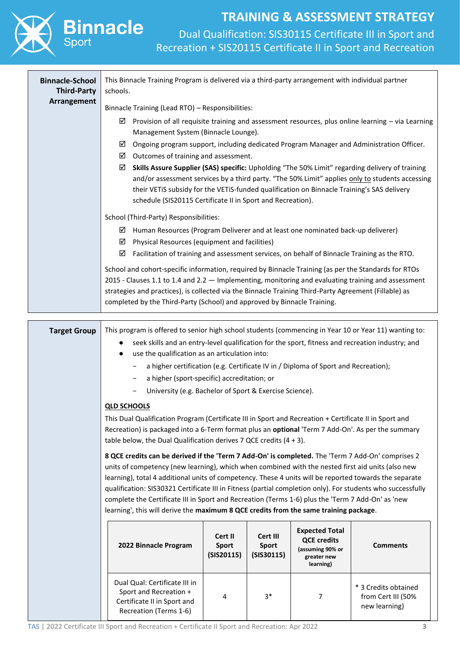Dual Qualification: SIS30115 Certificate III in Sport and Recreation + SIS20115 Certificate II in Sport and Recreation

| <b>Binnacle-School</b><br><b>Third-Party</b> | This Binnacle Training Program is delivered via a third-party arrangement with individual partner<br>schools.                                                                                                                                                                                                                                                                                                                                                                                                                                                                                                                 |   |    |   |                                                                                                   |  |  |  |
|----------------------------------------------|-------------------------------------------------------------------------------------------------------------------------------------------------------------------------------------------------------------------------------------------------------------------------------------------------------------------------------------------------------------------------------------------------------------------------------------------------------------------------------------------------------------------------------------------------------------------------------------------------------------------------------|---|----|---|---------------------------------------------------------------------------------------------------|--|--|--|
| Arrangement                                  | Binnacle Training (Lead RTO) - Responsibilities:                                                                                                                                                                                                                                                                                                                                                                                                                                                                                                                                                                              |   |    |   |                                                                                                   |  |  |  |
|                                              | ☑<br>Management System (Binnacle Lounge).                                                                                                                                                                                                                                                                                                                                                                                                                                                                                                                                                                                     |   |    |   | Provision of all requisite training and assessment resources, plus online learning - via Learning |  |  |  |
|                                              | Ongoing program support, including dedicated Program Manager and Administration Officer.<br>☑<br>$\boxtimes$ Outcomes of training and assessment.                                                                                                                                                                                                                                                                                                                                                                                                                                                                             |   |    |   |                                                                                                   |  |  |  |
|                                              | Skills Assure Supplier (SAS) specific: Upholding "The 50% Limit" regarding delivery of training<br>☑<br>and/or assessment services by a third party. "The 50% Limit" applies only to students accessing<br>their VETiS subsidy for the VETiS-funded qualification on Binnacle Training's SAS delivery<br>schedule (SIS20115 Certificate II in Sport and Recreation).                                                                                                                                                                                                                                                          |   |    |   |                                                                                                   |  |  |  |
|                                              | School (Third-Party) Responsibilities:                                                                                                                                                                                                                                                                                                                                                                                                                                                                                                                                                                                        |   |    |   |                                                                                                   |  |  |  |
|                                              | $\boxtimes$ Human Resources (Program Deliverer and at least one nominated back-up deliverer)                                                                                                                                                                                                                                                                                                                                                                                                                                                                                                                                  |   |    |   |                                                                                                   |  |  |  |
|                                              | $\boxtimes$ Physical Resources (equipment and facilities)                                                                                                                                                                                                                                                                                                                                                                                                                                                                                                                                                                     |   |    |   |                                                                                                   |  |  |  |
|                                              | Facilitation of training and assessment services, on behalf of Binnacle Training as the RTO.<br>☑                                                                                                                                                                                                                                                                                                                                                                                                                                                                                                                             |   |    |   |                                                                                                   |  |  |  |
|                                              | School and cohort-specific information, required by Binnacle Training (as per the Standards for RTOs<br>2015 - Clauses 1.1 to 1.4 and 2.2 - Implementing, monitoring and evaluating training and assessment<br>strategies and practices), is collected via the Binnacle Training Third-Party Agreement (Fillable) as<br>completed by the Third-Party (School) and approved by Binnacle Training.                                                                                                                                                                                                                              |   |    |   |                                                                                                   |  |  |  |
|                                              |                                                                                                                                                                                                                                                                                                                                                                                                                                                                                                                                                                                                                               |   |    |   |                                                                                                   |  |  |  |
| <b>Target Group</b>                          | This program is offered to senior high school students (commencing in Year 10 or Year 11) wanting to:<br>seek skills and an entry-level qualification for the sport, fitness and recreation industry; and                                                                                                                                                                                                                                                                                                                                                                                                                     |   |    |   |                                                                                                   |  |  |  |
|                                              | use the qualification as an articulation into:                                                                                                                                                                                                                                                                                                                                                                                                                                                                                                                                                                                |   |    |   |                                                                                                   |  |  |  |
|                                              | a higher certification (e.g. Certificate IV in / Diploma of Sport and Recreation);<br>$\qquad \qquad -$<br>a higher (sport-specific) accreditation; or                                                                                                                                                                                                                                                                                                                                                                                                                                                                        |   |    |   |                                                                                                   |  |  |  |
|                                              | University (e.g. Bachelor of Sport & Exercise Science).                                                                                                                                                                                                                                                                                                                                                                                                                                                                                                                                                                       |   |    |   |                                                                                                   |  |  |  |
|                                              | <b>QLD SCHOOLS</b>                                                                                                                                                                                                                                                                                                                                                                                                                                                                                                                                                                                                            |   |    |   |                                                                                                   |  |  |  |
|                                              | This Dual Qualification Program (Certificate III in Sport and Recreation + Certificate II in Sport and                                                                                                                                                                                                                                                                                                                                                                                                                                                                                                                        |   |    |   |                                                                                                   |  |  |  |
|                                              | Recreation) is packaged into a 6-Term format plus an optional 'Term 7 Add-On'. As per the summary<br>table below, the Dual Qualification derives 7 QCE credits $(4 + 3)$ .                                                                                                                                                                                                                                                                                                                                                                                                                                                    |   |    |   |                                                                                                   |  |  |  |
|                                              | 8 QCE credits can be derived if the 'Term 7 Add-On' is completed. The 'Term 7 Add-On' comprises 2<br>units of competency (new learning), which when combined with the nested first aid units (also new<br>learning), total 4 additional units of competency. These 4 units will be reported towards the separate<br>qualification: SIS30321 Certificate III in Fitness (partial completion only). For students who successfully<br>complete the Certificate III in Sport and Recreation (Terms 1-6) plus the 'Term 7 Add-On' as 'new<br>learning', this will derive the maximum 8 QCE credits from the same training package. |   |    |   |                                                                                                   |  |  |  |
|                                              | <b>Expected Total</b><br>Cert II<br>Cert III<br><b>QCE credits</b><br>2022 Binnacle Program<br><b>Sport</b><br>Sport<br><b>Comments</b><br>(assuming 90% or<br>(SIS20115)<br>(SIS30115)<br>greater new<br>learning)                                                                                                                                                                                                                                                                                                                                                                                                           |   |    |   |                                                                                                   |  |  |  |
|                                              | Dual Qual: Certificate III in<br>Sport and Recreation +<br>Certificate II in Sport and<br>Recreation (Terms 1-6)                                                                                                                                                                                                                                                                                                                                                                                                                                                                                                              | 4 | 3* | 7 | * 3 Credits obtained<br>from Cert III (50%<br>new learning)                                       |  |  |  |

**Binnacle**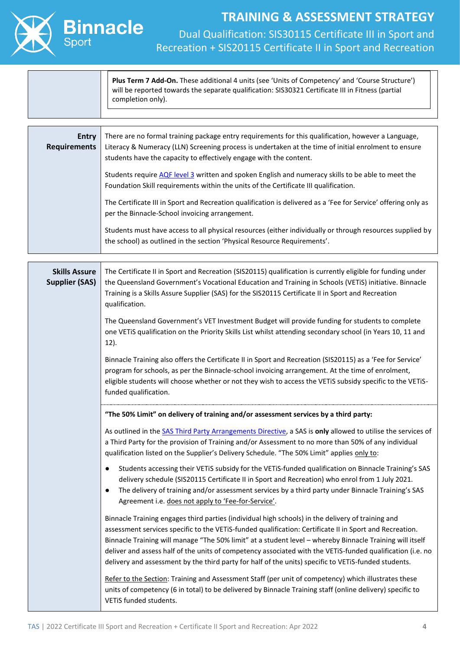

#### **Plus Term 7 Add-On.** These additional 4 units (see 'Units of Competency' and 'Course Structure') will be reported towards the separate qualification: SIS30321 Certificate III in Fitness (partial completion only).

| <b>Entry</b><br><b>Requirements</b> | There are no formal training package entry requirements for this qualification, however a Language,<br>Literacy & Numeracy (LLN) Screening process is undertaken at the time of initial enrolment to ensure<br>students have the capacity to effectively engage with the content. |
|-------------------------------------|-----------------------------------------------------------------------------------------------------------------------------------------------------------------------------------------------------------------------------------------------------------------------------------|
|                                     | Students require AQF level 3 written and spoken English and numeracy skills to be able to meet the<br>Foundation Skill requirements within the units of the Certificate III qualification.                                                                                        |
|                                     | The Certificate III in Sport and Recreation qualification is delivered as a 'Fee for Service' offering only as<br>per the Binnacle-School invoicing arrangement.                                                                                                                  |
|                                     | Students must have access to all physical resources (either individually or through resources supplied by<br>the school) as outlined in the section 'Physical Resource Requirements'.                                                                                             |

| <b>Skills Assure</b><br><b>Supplier (SAS)</b> | The Certificate II in Sport and Recreation (SIS20115) qualification is currently eligible for funding under<br>the Queensland Government's Vocational Education and Training in Schools (VETIS) initiative. Binnacle<br>Training is a Skills Assure Supplier (SAS) for the SIS20115 Certificate II in Sport and Recreation<br>qualification.                                                                                                                                                                                                   |
|-----------------------------------------------|------------------------------------------------------------------------------------------------------------------------------------------------------------------------------------------------------------------------------------------------------------------------------------------------------------------------------------------------------------------------------------------------------------------------------------------------------------------------------------------------------------------------------------------------|
|                                               | The Queensland Government's VET Investment Budget will provide funding for students to complete<br>one VETiS qualification on the Priority Skills List whilst attending secondary school (in Years 10, 11 and<br>$12$ ).                                                                                                                                                                                                                                                                                                                       |
|                                               | Binnacle Training also offers the Certificate II in Sport and Recreation (SIS20115) as a 'Fee for Service'<br>program for schools, as per the Binnacle-school invoicing arrangement. At the time of enrolment,<br>eligible students will choose whether or not they wish to access the VETiS subsidy specific to the VETiS-<br>funded qualification.                                                                                                                                                                                           |
|                                               | "The 50% Limit" on delivery of training and/or assessment services by a third party:                                                                                                                                                                                                                                                                                                                                                                                                                                                           |
|                                               | As outlined in the SAS Third Party Arrangements Directive, a SAS is only allowed to utilise the services of<br>a Third Party for the provision of Training and/or Assessment to no more than 50% of any individual<br>qualification listed on the Supplier's Delivery Schedule. "The 50% Limit" applies only to:                                                                                                                                                                                                                               |
|                                               | Students accessing their VETiS subsidy for the VETiS-funded qualification on Binnacle Training's SAS<br>$\bullet$<br>delivery schedule (SIS20115 Certificate II in Sport and Recreation) who enrol from 1 July 2021.<br>The delivery of training and/or assessment services by a third party under Binnacle Training's SAS<br>$\bullet$<br>Agreement i.e. does not apply to 'Fee-for-Service'.                                                                                                                                                 |
|                                               | Binnacle Training engages third parties (individual high schools) in the delivery of training and<br>assessment services specific to the VETiS-funded qualification: Certificate II in Sport and Recreation.<br>Binnacle Training will manage "The 50% limit" at a student level - whereby Binnacle Training will itself<br>deliver and assess half of the units of competency associated with the VETiS-funded qualification (i.e. no<br>delivery and assessment by the third party for half of the units) specific to VETiS-funded students. |
|                                               | Refer to the Section: Training and Assessment Staff (per unit of competency) which illustrates these<br>units of competency (6 in total) to be delivered by Binnacle Training staff (online delivery) specific to<br>VETIS funded students.                                                                                                                                                                                                                                                                                                    |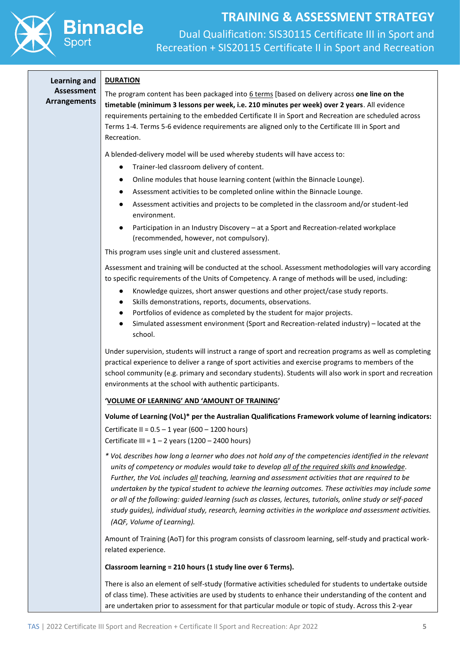

Dual Qualification: SIS30115 Certificate III in Sport and Recreation + SIS20115 Certificate II in Sport and Recreation

#### **Learning and DURATION**

**Assessment Arrangements**

The program content has been packaged into 6 terms [based on delivery across **one line on the timetable (minimum 3 lessons per week, i.e. 210 minutes per week) over 2 years**. All evidence requirements pertaining to the embedded Certificate II in Sport and Recreation are scheduled across Terms 1-4. Terms 5-6 evidence requirements are aligned only to the Certificate III in Sport and Recreation.

A blended-delivery model will be used whereby students will have access to:

- Trainer-led classroom delivery of content.
- Online modules that house learning content (within the Binnacle Lounge).
- Assessment activities to be completed online within the Binnacle Lounge.
- Assessment activities and projects to be completed in the classroom and/or student-led environment.
- Participation in an Industry Discovery at a Sport and Recreation-related workplace (recommended, however, not compulsory).

This program uses single unit and clustered assessment.

Assessment and training will be conducted at the school. Assessment methodologies will vary according to specific requirements of the Units of Competency. A range of methods will be used, including:

- Knowledge quizzes, short answer questions and other project/case study reports.
- Skills demonstrations, reports, documents, observations.
- Portfolios of evidence as completed by the student for major projects.
- Simulated assessment environment (Sport and Recreation-related industry) located at the school.

Under supervision, students will instruct a range of sport and recreation programs as well as completing practical experience to deliver a range of sport activities and exercise programs to members of the school community (e.g. primary and secondary students). Students will also work in sport and recreation environments at the school with authentic participants.

#### **'VOLUME OF LEARNING' AND 'AMOUNT OF TRAINING'**

#### **Volume of Learning (VoL)\* per the Australian Qualifications Framework volume of learning indicators:**

Certificate II =  $0.5 - 1$  year (600 – 1200 hours) Certificate III =  $1 - 2$  years (1200 – 2400 hours)

*\* VoL describes how long a learner who does not hold any of the competencies identified in the relevant units of competency or modules would take to develop all of the required skills and knowledge. Further, the VoL includes all teaching, learning and assessment activities that are required to be undertaken by the typical student to achieve the learning outcomes. These activities may include some or all of the following: guided learning (such as classes, lectures, tutorials, online study or self-paced study guides), individual study, research, learning activities in the workplace and assessment activities. (AQF, Volume of Learning).*

Amount of Training (AoT) for this program consists of classroom learning, self-study and practical workrelated experience.

**Classroom learning = 210 hours (1 study line over 6 Terms).**

There is also an element of self-study (formative activities scheduled for students to undertake outside of class time). These activities are used by students to enhance their understanding of the content and are undertaken prior to assessment for that particular module or topic of study. Across this 2-year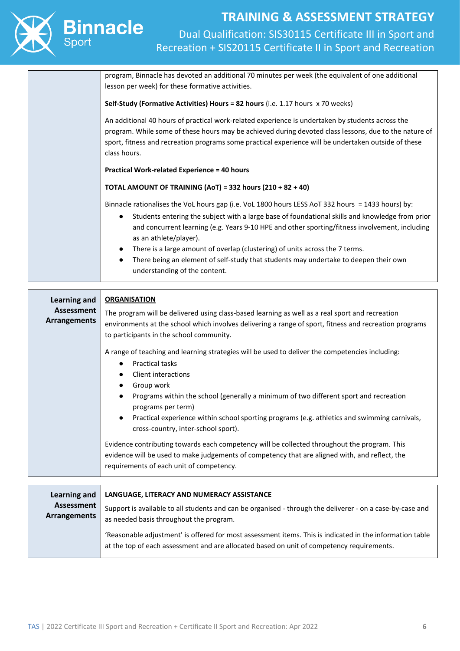

Dual Qualification: SIS30115 Certificate III in Sport and Recreation + SIS20115 Certificate II in Sport and Recreation

| program, Binnacle has devoted an additional 70 minutes per week (the equivalent of one additional<br>lesson per week) for these formative activities.                                                                                                                                                                             |
|-----------------------------------------------------------------------------------------------------------------------------------------------------------------------------------------------------------------------------------------------------------------------------------------------------------------------------------|
| Self-Study (Formative Activities) Hours = 82 hours (i.e. 1.17 hours x 70 weeks)                                                                                                                                                                                                                                                   |
| An additional 40 hours of practical work-related experience is undertaken by students across the<br>program. While some of these hours may be achieved during devoted class lessons, due to the nature of<br>sport, fitness and recreation programs some practical experience will be undertaken outside of these<br>class hours. |
| <b>Practical Work-related Experience = 40 hours</b>                                                                                                                                                                                                                                                                               |
| <b>TOTAL AMOUNT OF TRAINING (AoT) = 332 hours (210 + 82 + 40)</b>                                                                                                                                                                                                                                                                 |
| Binnacle rationalises the VoL hours gap (i.e. VoL 1800 hours LESS AoT 332 hours = 1433 hours) by:                                                                                                                                                                                                                                 |
| Students entering the subject with a large base of foundational skills and knowledge from prior<br>$\bullet$<br>and concurrent learning (e.g. Years 9-10 HPE and other sporting/fitness involvement, including<br>as an athlete/player).                                                                                          |
| There is a large amount of overlap (clustering) of units across the 7 terms.                                                                                                                                                                                                                                                      |
| There being an element of self-study that students may undertake to deepen their own<br>$\bullet$<br>understanding of the content.                                                                                                                                                                                                |

| Learning and<br>Assessment<br><b>Arrangements</b> | <b>ORGANISATION</b><br>The program will be delivered using class-based learning as well as a real sport and recreation<br>environments at the school which involves delivering a range of sport, fitness and recreation programs<br>to participants in the school community.<br>A range of teaching and learning strategies will be used to deliver the competencies including:<br><b>Practical tasks</b> |
|---------------------------------------------------|-----------------------------------------------------------------------------------------------------------------------------------------------------------------------------------------------------------------------------------------------------------------------------------------------------------------------------------------------------------------------------------------------------------|
|                                                   | Client interactions<br>Group work<br>$\bullet$<br>Programs within the school (generally a minimum of two different sport and recreation<br>$\bullet$<br>programs per term)<br>Practical experience within school sporting programs (e.g. athletics and swimming carnivals,<br>cross-country, inter-school sport).                                                                                         |
|                                                   | Evidence contributing towards each competency will be collected throughout the program. This<br>evidence will be used to make judgements of competency that are aligned with, and reflect, the<br>requirements of each unit of competency.                                                                                                                                                                |
| <b>Learning and</b>                               | <b>LANGUAGE, LITERACY AND NUMERACY ASSISTANCE</b>                                                                                                                                                                                                                                                                                                                                                         |
| Assessment<br><b>Arrangements</b>                 | Support is available to all students and can be organised - through the deliverer - on a case-by-case and<br>as needed basis throughout the program.                                                                                                                                                                                                                                                      |

'Reasonable adjustment' is offered for most assessment items. This is indicated in the information table at the top of each assessment and are allocated based on unit of competency requirements.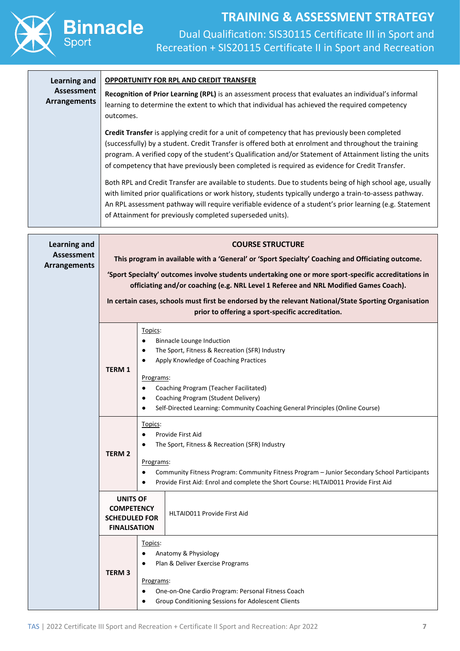

| <b>Learning and</b>                      | <b>OPPORTUNITY FOR RPL AND CREDIT TRANSFER</b>                                                                                                                                                                                                                                                                                                                                                                        |  |  |  |  |  |  |  |
|------------------------------------------|-----------------------------------------------------------------------------------------------------------------------------------------------------------------------------------------------------------------------------------------------------------------------------------------------------------------------------------------------------------------------------------------------------------------------|--|--|--|--|--|--|--|
| <b>Assessment</b><br><b>Arrangements</b> | Recognition of Prior Learning (RPL) is an assessment process that evaluates an individual's informal<br>learning to determine the extent to which that individual has achieved the required competency<br>outcomes.                                                                                                                                                                                                   |  |  |  |  |  |  |  |
|                                          | Credit Transfer is applying credit for a unit of competency that has previously been completed<br>(successfully) by a student. Credit Transfer is offered both at enrolment and throughout the training<br>program. A verified copy of the student's Qualification and/or Statement of Attainment listing the units<br>of competency that have previously been completed is required as evidence for Credit Transfer. |  |  |  |  |  |  |  |
|                                          | Both RPL and Credit Transfer are available to students. Due to students being of high school age, usually<br>with limited prior qualifications or work history, students typically undergo a train-to-assess pathway.<br>An RPL assessment pathway will require verifiable evidence of a student's prior learning (e.g. Statement<br>of Attainment for previously completed superseded units).                        |  |  |  |  |  |  |  |
| <b>Learning and</b><br><b>Assessment</b> | <b>COURSE STRUCTURE</b>                                                                                                                                                                                                                                                                                                                                                                                               |  |  |  |  |  |  |  |
| <b>Arrangements</b>                      | This program in available with a 'General' or 'Sport Specialty' Coaching and Officiating outcome.                                                                                                                                                                                                                                                                                                                     |  |  |  |  |  |  |  |
|                                          | 'Sport Specialty' outcomes involve students undertaking one or more sport-specific accreditations in<br>officiating and/or coaching (e.g. NRL Level 1 Referee and NRL Modified Games Coach).                                                                                                                                                                                                                          |  |  |  |  |  |  |  |
|                                          | In certain cases, schools must first be endorsed by the relevant National/State Sporting Organisation<br>prior to offering a sport-specific accreditation.                                                                                                                                                                                                                                                            |  |  |  |  |  |  |  |
|                                          | Topics:<br><b>Binnacle Lounge Induction</b><br>٠<br>The Sport, Fitness & Recreation (SFR) Industry<br>٠<br>Apply Knowledge of Coaching Practices<br><b>TERM 1</b><br>Programs:<br>Coaching Program (Teacher Facilitated)                                                                                                                                                                                              |  |  |  |  |  |  |  |
|                                          | Coaching Program (Student Delivery)<br>Self-Directed Learning: Community Coaching General Principles (Online Course)                                                                                                                                                                                                                                                                                                  |  |  |  |  |  |  |  |
|                                          | Topics:<br>Provide First Aid<br>The Sport, Fitness & Recreation (SFR) Industry<br><b>TERM 2</b><br>Programs:<br>Community Fitness Program: Community Fitness Program - Junior Secondary School Participants<br>Provide First Aid: Enrol and complete the Short Course: HLTAID011 Provide First Aid                                                                                                                    |  |  |  |  |  |  |  |
|                                          | <b>UNITS OF</b><br><b>COMPETENCY</b><br>HLTAID011 Provide First Aid<br><b>SCHEDULED FOR</b><br><b>FINALISATION</b>                                                                                                                                                                                                                                                                                                    |  |  |  |  |  |  |  |
|                                          | Topics:<br>Anatomy & Physiology<br>٠<br>Plan & Deliver Exercise Programs<br>٠<br><b>TERM3</b><br>Programs:<br>One-on-One Cardio Program: Personal Fitness Coach<br>٠<br>Group Conditioning Sessions for Adolescent Clients                                                                                                                                                                                            |  |  |  |  |  |  |  |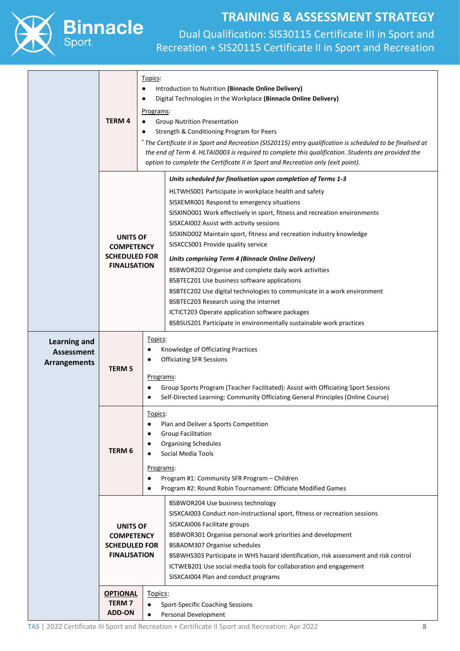

# **Binnacle**

# **TRAINING & ASSESSMENT STRATEGY**

|                                                          | ٠<br>$\bullet$<br><b>TERM 4</b>                                                     | Topics:<br>Introduction to Nutrition (Binnacle Online Delivery)<br>Digital Technologies in the Workplace (Binnacle Online Delivery)<br><u>Programs:</u><br><b>Group Nutrition Presentation</b><br>Strength & Conditioning Program for Peers<br>* The Certificate II in Sport and Recreation (SIS20115) entry qualification is scheduled to be finalised at<br>the end of Term 4. HLTAID003 is required to complete this qualification. Students are provided the<br>option to complete the Certificate II in Sport and Recreation only (exit point).                                                                                                                                                                                                                                                                           |
|----------------------------------------------------------|-------------------------------------------------------------------------------------|--------------------------------------------------------------------------------------------------------------------------------------------------------------------------------------------------------------------------------------------------------------------------------------------------------------------------------------------------------------------------------------------------------------------------------------------------------------------------------------------------------------------------------------------------------------------------------------------------------------------------------------------------------------------------------------------------------------------------------------------------------------------------------------------------------------------------------|
|                                                          | <b>UNITS OF</b><br><b>COMPETENCY</b><br><b>SCHEDULED FOR</b><br><b>FINALISATION</b> | Units scheduled for finalisation upon completion of Terms 1-3<br>HLTWHS001 Participate in workplace health and safety<br>SISXEMR001 Respond to emergency situations<br>SISXIND001 Work effectively in sport, fitness and recreation environments<br>SISXCAI002 Assist with activity sessions<br>SISXIND002 Maintain sport, fitness and recreation industry knowledge<br>SISXCCS001 Provide quality service<br><b>Units comprising Term 4 (Binnacle Online Delivery)</b><br>BSBWOR202 Organise and complete daily work activities<br>BSBTEC201 Use business software applications<br>BSBTEC202 Use digital technologies to communicate in a work environment<br>BSBTEC203 Research using the internet<br>ICTICT203 Operate application software packages<br>BSBSUS201 Participate in environmentally sustainable work practices |
| <b>Learning and</b><br>Assessment<br><b>Arrangements</b> | <b>TERM 5</b>                                                                       | Topics:<br>Knowledge of Officiating Practices<br>٠<br><b>Officiating SFR Sessions</b><br>Programs:<br>Group Sports Program (Teacher Facilitated): Assist with Officiating Sport Sessions<br>٠<br>Self-Directed Learning: Community Officiating General Principles (Online Course)<br>$\bullet$                                                                                                                                                                                                                                                                                                                                                                                                                                                                                                                                 |
|                                                          | TERM 6                                                                              | Topics:<br>Plan and Deliver a Sports Competition<br><b>Group Facilitation</b><br>$\bullet$<br><b>Organising Schedules</b><br>٠<br>Social Media Tools<br>Programs:<br>Program #1: Community SFR Program - Children<br>$\bullet$<br>Program #2: Round Robin Tournament: Officiate Modified Games<br>$\bullet$                                                                                                                                                                                                                                                                                                                                                                                                                                                                                                                    |
|                                                          | <b>UNITS OF</b><br><b>COMPETENCY</b><br><b>SCHEDULED FOR</b><br><b>FINALISATION</b> | BSBWOR204 Use business technology<br>SISXCAI003 Conduct non-instructional sport, fitness or recreation sessions<br>SISXCAI006 Facilitate groups<br>BSBWOR301 Organise personal work priorities and development<br>BSBADM307 Organise schedules<br>BSBWHS303 Participate in WHS hazard identification, risk assessment and risk control<br>ICTWEB201 Use social media tools for collaboration and engagement<br>SISXCAI004 Plan and conduct programs                                                                                                                                                                                                                                                                                                                                                                            |
|                                                          | <b>OPTIONAL</b><br><b>TERM7</b><br><b>ADD-ON</b>                                    | Topics:<br><b>Sport-Specific Coaching Sessions</b><br>$\bullet$<br>Personal Development<br>$\bullet$                                                                                                                                                                                                                                                                                                                                                                                                                                                                                                                                                                                                                                                                                                                           |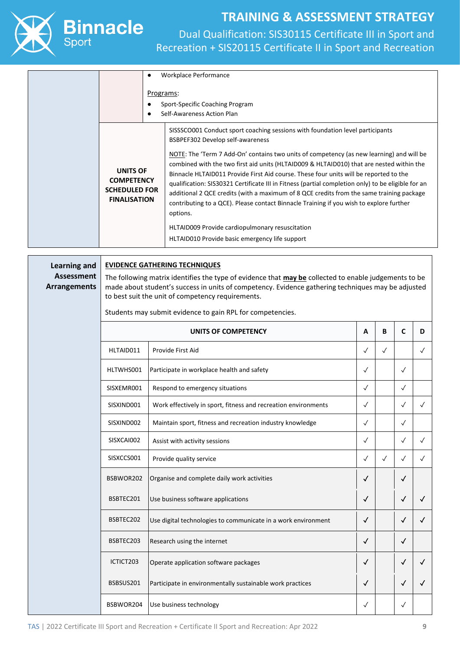

Dual Qualification: SIS30115 Certificate III in Sport and Recreation + SIS20115 Certificate II in Sport and Recreation

| Programs:                                                                           | Workplace Performance<br>Sport-Specific Coaching Program<br>Self-Awareness Action Plan                                                                                                                                                                                                                                                                                                                                                                                                                                                                                                                                                                                                                                                                                                                           |
|-------------------------------------------------------------------------------------|------------------------------------------------------------------------------------------------------------------------------------------------------------------------------------------------------------------------------------------------------------------------------------------------------------------------------------------------------------------------------------------------------------------------------------------------------------------------------------------------------------------------------------------------------------------------------------------------------------------------------------------------------------------------------------------------------------------------------------------------------------------------------------------------------------------|
| <b>UNITS OF</b><br><b>COMPETENCY</b><br><b>SCHEDULED FOR</b><br><b>FINALISATION</b> | SISSSCO001 Conduct sport coaching sessions with foundation level participants<br>BSBPEF302 Develop self-awareness<br>NOTE: The 'Term 7 Add-On' contains two units of competency (as new learning) and will be<br>combined with the two first aid units (HLTAID009 & HLTAID010) that are nested within the<br>Binnacle HLTAID011 Provide First Aid course. These four units will be reported to the<br>qualification: SIS30321 Certificate III in Fitness (partial completion only) to be eligible for an<br>additional 2 QCE credits (with a maximum of 8 QCE credits from the same training package<br>contributing to a QCE). Please contact Binnacle Training if you wish to explore further<br>options.<br>HLTAID009 Provide cardiopulmonary resuscitation<br>HLTAID010 Provide basic emergency life support |

**Learning and Assessment Arrangements**

#### **EVIDENCE GATHERING TECHNIQUES**

The following matrix identifies the type of evidence that **may be** collected to enable judgements to be made about student's success in units of competency. Evidence gathering techniques may be adjusted to best suit the unit of competency requirements.

Students may submit evidence to gain RPL for competencies.

|            | UNITS OF COMPETENCY                                            | A            | В            | C            | D            |
|------------|----------------------------------------------------------------|--------------|--------------|--------------|--------------|
| HLTAID011  | Provide First Aid                                              | $\checkmark$ | $\checkmark$ |              | $\sqrt{}$    |
| HLTWHS001  | Participate in workplace health and safety                     | $\sqrt{ }$   |              | $\sqrt{2}$   |              |
| SISXEMR001 | Respond to emergency situations                                | $\checkmark$ |              | $\checkmark$ |              |
| SISXIND001 | Work effectively in sport, fitness and recreation environments | $\checkmark$ |              | $\checkmark$ | $\sqrt{}$    |
| SISXIND002 | Maintain sport, fitness and recreation industry knowledge      | $\checkmark$ |              | $\checkmark$ |              |
| SISXCAI002 | Assist with activity sessions                                  | $\checkmark$ |              | $\sqrt{2}$   | $\checkmark$ |
| SISXCCS001 | Provide quality service                                        | $\checkmark$ | $\checkmark$ | $\checkmark$ | $\sqrt{}$    |
| BSBWOR202  | Organise and complete daily work activities                    | $\checkmark$ |              | √            |              |
| BSBTEC201  | Use business software applications                             | $\checkmark$ |              | √            | ✓            |
| BSBTEC202  | Use digital technologies to communicate in a work environment  | $\checkmark$ |              | √            |              |
| BSBTEC203  | Research using the internet                                    | √            |              | $\checkmark$ |              |
| ICTICT203  | Operate application software packages                          | $\checkmark$ |              | $\checkmark$ | ✓            |
| BSBSUS201  | Participate in environmentally sustainable work practices      | √            |              | √            | √            |
| BSBWOR204  | Use business technology                                        | $\checkmark$ |              | $\checkmark$ |              |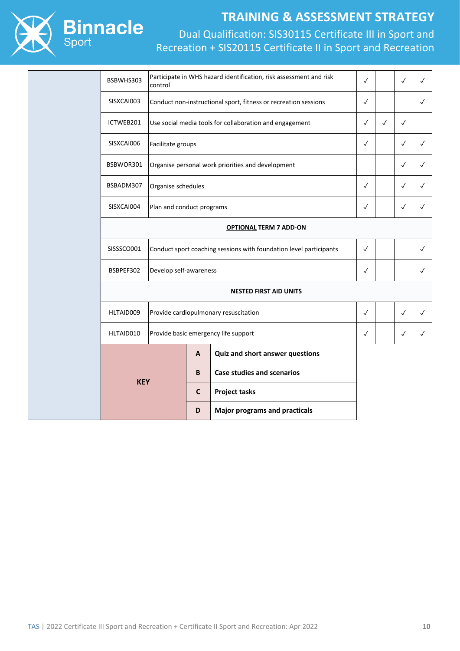

|  | BSBWHS303                               | Participate in WHS hazard identification, risk assessment and risk<br>control |                                                                    |                                                   |              |              | $\checkmark$ | $\checkmark$ |
|--|-----------------------------------------|-------------------------------------------------------------------------------|--------------------------------------------------------------------|---------------------------------------------------|--------------|--------------|--------------|--------------|
|  | SISXCAI003                              | Conduct non-instructional sport, fitness or recreation sessions               |                                                                    |                                                   |              |              |              | $\checkmark$ |
|  | ICTWEB201                               | Use social media tools for collaboration and engagement                       |                                                                    |                                                   |              | $\checkmark$ | $\checkmark$ |              |
|  | SISXCAI006                              | Facilitate groups                                                             |                                                                    |                                                   |              |              | $\checkmark$ | $\checkmark$ |
|  | BSBWOR301                               |                                                                               |                                                                    | Organise personal work priorities and development |              |              | $\checkmark$ | $\checkmark$ |
|  | BSBADM307                               | Organise schedules                                                            |                                                                    |                                                   | $\checkmark$ |              | $\checkmark$ | $\checkmark$ |
|  | SISXCAI004<br>Plan and conduct programs |                                                                               |                                                                    |                                                   |              |              | $\checkmark$ | $\checkmark$ |
|  |                                         |                                                                               |                                                                    |                                                   |              |              |              |              |
|  | SISSSCO001                              |                                                                               | Conduct sport coaching sessions with foundation level participants |                                                   |              |              |              | $\checkmark$ |
|  | BSBPEF302                               |                                                                               | Develop self-awareness                                             |                                                   |              |              |              | $\checkmark$ |
|  |                                         |                                                                               |                                                                    | <b>NESTED FIRST AID UNITS</b>                     |              |              |              |              |
|  | HLTAID009                               |                                                                               | Provide cardiopulmonary resuscitation                              |                                                   | $\checkmark$ |              | $\checkmark$ | $\checkmark$ |
|  | HLTAID010                               |                                                                               | Provide basic emergency life support                               |                                                   | $\checkmark$ |              | $\checkmark$ | $\checkmark$ |
|  |                                         |                                                                               |                                                                    | Quiz and short answer questions                   |              |              |              |              |
|  | <b>KEY</b>                              |                                                                               | B                                                                  | <b>Case studies and scenarios</b>                 |              |              |              |              |
|  |                                         |                                                                               | $\mathbf c$                                                        | <b>Project tasks</b>                              |              |              |              |              |
|  |                                         |                                                                               | D                                                                  | <b>Major programs and practicals</b>              |              |              |              |              |
|  |                                         |                                                                               |                                                                    |                                                   |              |              |              |              |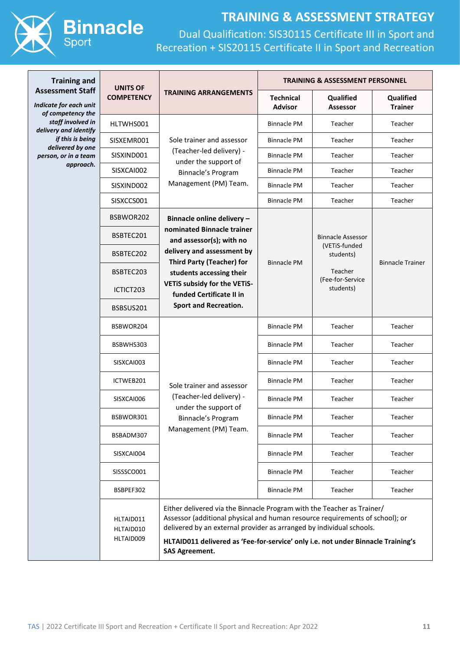

| <b>Training and</b>                                                    | <b>UNITS OF</b><br><b>COMPETENCY</b> | <b>TRAINING ARRANGEMENTS</b>                                                                                                                                                                                                                                                                                                                | <b>TRAINING &amp; ASSESSMENT PERSONNEL</b> |                                                                                                                               |                             |
|------------------------------------------------------------------------|--------------------------------------|---------------------------------------------------------------------------------------------------------------------------------------------------------------------------------------------------------------------------------------------------------------------------------------------------------------------------------------------|--------------------------------------------|-------------------------------------------------------------------------------------------------------------------------------|-----------------------------|
| <b>Assessment Staff</b><br>Indicate for each unit<br>of competency the |                                      |                                                                                                                                                                                                                                                                                                                                             | <b>Technical</b><br><b>Advisor</b>         | Qualified<br><b>Assessor</b>                                                                                                  | Qualified<br><b>Trainer</b> |
| staff involved in<br>delivery and identify                             | HLTWHS001                            | Sole trainer and assessor<br>(Teacher-led delivery) -<br>under the support of<br>Binnacle's Program                                                                                                                                                                                                                                         | <b>Binnacle PM</b>                         | Teacher                                                                                                                       | Teacher                     |
| if this is being                                                       | SISXEMR001                           |                                                                                                                                                                                                                                                                                                                                             | <b>Binnacle PM</b>                         | Teacher                                                                                                                       | Teacher                     |
| delivered by one<br>person, or in a team                               | SISXIND001                           |                                                                                                                                                                                                                                                                                                                                             | <b>Binnacle PM</b>                         | Teacher                                                                                                                       | Teacher                     |
| approach.                                                              | SISXCAI002                           |                                                                                                                                                                                                                                                                                                                                             | <b>Binnacle PM</b>                         | Teacher                                                                                                                       | Teacher                     |
|                                                                        | SISXIND002                           | Management (PM) Team.                                                                                                                                                                                                                                                                                                                       | <b>Binnacle PM</b>                         | Teacher                                                                                                                       | Teacher                     |
|                                                                        | SISXCCS001                           |                                                                                                                                                                                                                                                                                                                                             | <b>Binnacle PM</b>                         | Teacher                                                                                                                       | Teacher                     |
|                                                                        | BSBWOR202                            | Binnacle online delivery -                                                                                                                                                                                                                                                                                                                  | <b>Binnacle PM</b>                         | <b>Binnacle Assessor</b><br>(VETiS-funded<br>students)<br><b>Binnacle Trainer</b><br>Teacher<br>(Fee-for-Service<br>students) |                             |
|                                                                        | BSBTEC201                            | nominated Binnacle trainer<br>and assessor(s); with no                                                                                                                                                                                                                                                                                      |                                            |                                                                                                                               |                             |
|                                                                        | BSBTEC202                            | delivery and assessment by                                                                                                                                                                                                                                                                                                                  |                                            |                                                                                                                               |                             |
|                                                                        | BSBTEC203                            | <b>Third Party (Teacher) for</b><br>students accessing their                                                                                                                                                                                                                                                                                |                                            |                                                                                                                               |                             |
|                                                                        | ICTICT203                            | VETIS subsidy for the VETIS-<br>funded Certificate II in                                                                                                                                                                                                                                                                                    |                                            |                                                                                                                               |                             |
|                                                                        | BSBSUS201                            | <b>Sport and Recreation.</b>                                                                                                                                                                                                                                                                                                                |                                            |                                                                                                                               |                             |
|                                                                        | BSBWOR204                            |                                                                                                                                                                                                                                                                                                                                             | <b>Binnacle PM</b>                         | Teacher                                                                                                                       | Teacher                     |
|                                                                        | BSBWHS303                            |                                                                                                                                                                                                                                                                                                                                             | <b>Binnacle PM</b>                         | Teacher                                                                                                                       | Teacher                     |
|                                                                        | SISXCAI003                           |                                                                                                                                                                                                                                                                                                                                             | <b>Binnacle PM</b>                         | Teacher                                                                                                                       | Teacher                     |
|                                                                        | ICTWEB201                            | Sole trainer and assessor                                                                                                                                                                                                                                                                                                                   | <b>Binnacle PM</b>                         | Teacher                                                                                                                       | Teacher                     |
|                                                                        | SISXCAI006                           | (Teacher-led delivery) -<br>under the support of<br>Binnacle's Program                                                                                                                                                                                                                                                                      | <b>Binnacle PM</b>                         | Teacher                                                                                                                       | Teacher                     |
|                                                                        | BSBWOR301                            |                                                                                                                                                                                                                                                                                                                                             | <b>Binnacle PM</b>                         | Teacher                                                                                                                       | Teacher                     |
|                                                                        | BSBADM307                            | Management (PM) Team.                                                                                                                                                                                                                                                                                                                       | <b>Binnacle PM</b>                         | Teacher                                                                                                                       | Teacher                     |
|                                                                        | SISXCAI004                           |                                                                                                                                                                                                                                                                                                                                             | <b>Binnacle PM</b>                         | Teacher                                                                                                                       | Teacher                     |
|                                                                        | SISSSCO001<br>BSBPEF302              |                                                                                                                                                                                                                                                                                                                                             | <b>Binnacle PM</b>                         | Teacher                                                                                                                       | Teacher                     |
|                                                                        |                                      | <b>Binnacle PM</b>                                                                                                                                                                                                                                                                                                                          | Teacher                                    | Teacher                                                                                                                       |                             |
|                                                                        | HLTAID011<br>HLTAID010<br>HLTAID009  | Either delivered via the Binnacle Program with the Teacher as Trainer/<br>Assessor (additional physical and human resource requirements of school); or<br>delivered by an external provider as arranged by individual schools.<br>HLTAID011 delivered as 'Fee-for-service' only i.e. not under Binnacle Training's<br><b>SAS Agreement.</b> |                                            |                                                                                                                               |                             |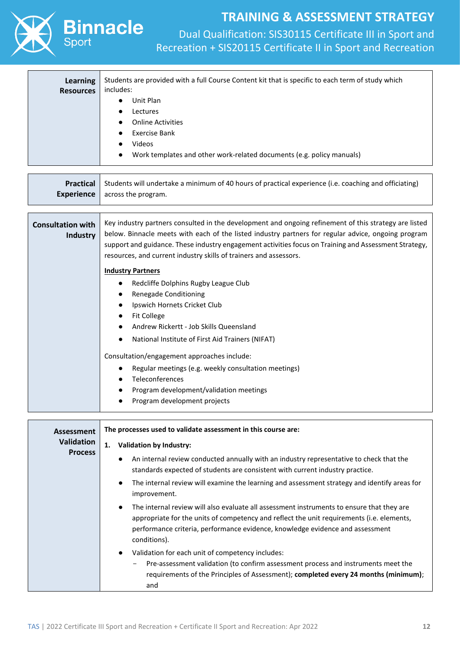



Dual Qualification: SIS30115 Certificate III in Sport and Recreation + SIS20115 Certificate II in Sport and Recreation

| Learning<br><b>Resources</b> | Students are provided with a full Course Content kit that is specific to each term of study which<br>includes: |  |  |
|------------------------------|----------------------------------------------------------------------------------------------------------------|--|--|
|                              | Unit Plan<br>$\bullet$                                                                                         |  |  |
|                              | Lectures<br>$\bullet$                                                                                          |  |  |
|                              | <b>Online Activities</b><br>$\bullet$                                                                          |  |  |
|                              | Exercise Bank<br>$\bullet$                                                                                     |  |  |
|                              | Videos                                                                                                         |  |  |
|                              | Work templates and other work-related documents (e.g. policy manuals)                                          |  |  |

| <b>Practical</b><br><b>Experience</b> | Students will undertake a minimum of 40 hours of practical experience (i.e. coaching and officiating)<br>across the program.                                                                                                                                                                                                                                                               |  |  |
|---------------------------------------|--------------------------------------------------------------------------------------------------------------------------------------------------------------------------------------------------------------------------------------------------------------------------------------------------------------------------------------------------------------------------------------------|--|--|
|                                       |                                                                                                                                                                                                                                                                                                                                                                                            |  |  |
| <b>Consultation with</b><br>Industry  | Key industry partners consulted in the development and ongoing refinement of this strategy are listed<br>below. Binnacle meets with each of the listed industry partners for regular advice, ongoing program<br>support and guidance. These industry engagement activities focus on Training and Assessment Strategy,<br>resources, and current industry skills of trainers and assessors. |  |  |
|                                       | <b>Industry Partners</b>                                                                                                                                                                                                                                                                                                                                                                   |  |  |
|                                       | Redcliffe Dolphins Rugby League Club                                                                                                                                                                                                                                                                                                                                                       |  |  |
|                                       | <b>Renegade Conditioning</b>                                                                                                                                                                                                                                                                                                                                                               |  |  |
|                                       | Ipswich Hornets Cricket Club                                                                                                                                                                                                                                                                                                                                                               |  |  |
|                                       | <b>Fit College</b>                                                                                                                                                                                                                                                                                                                                                                         |  |  |
|                                       | Andrew Rickertt - Job Skills Queensland                                                                                                                                                                                                                                                                                                                                                    |  |  |
|                                       | National Institute of First Aid Trainers (NIFAT)                                                                                                                                                                                                                                                                                                                                           |  |  |
|                                       | Consultation/engagement approaches include:                                                                                                                                                                                                                                                                                                                                                |  |  |
|                                       | Regular meetings (e.g. weekly consultation meetings)                                                                                                                                                                                                                                                                                                                                       |  |  |
|                                       | Teleconferences                                                                                                                                                                                                                                                                                                                                                                            |  |  |
|                                       | Program development/validation meetings                                                                                                                                                                                                                                                                                                                                                    |  |  |
|                                       | Program development projects                                                                                                                                                                                                                                                                                                                                                               |  |  |
|                                       |                                                                                                                                                                                                                                                                                                                                                                                            |  |  |
| Assessment                            | The processes used to validate assessment in this course are:                                                                                                                                                                                                                                                                                                                              |  |  |
| <b>Validation</b>                     | <b>Validation by Industry:</b><br>1.                                                                                                                                                                                                                                                                                                                                                       |  |  |
| <b>Process</b>                        |                                                                                                                                                                                                                                                                                                                                                                                            |  |  |
|                                       | An internal review conducted annually with an industry representative to check that the                                                                                                                                                                                                                                                                                                    |  |  |

standards expected of students are consistent with current industry practice.

- The internal review will examine the learning and assessment strategy and identify areas for improvement.
- The internal review will also evaluate all assessment instruments to ensure that they are appropriate for the units of competency and reflect the unit requirements (i.e. elements, performance criteria, performance evidence, knowledge evidence and assessment conditions).
- Validation for each unit of competency includes:
	- Pre-assessment validation (to confirm assessment process and instruments meet the requirements of the Principles of Assessment); **completed every 24 months (minimum)**; and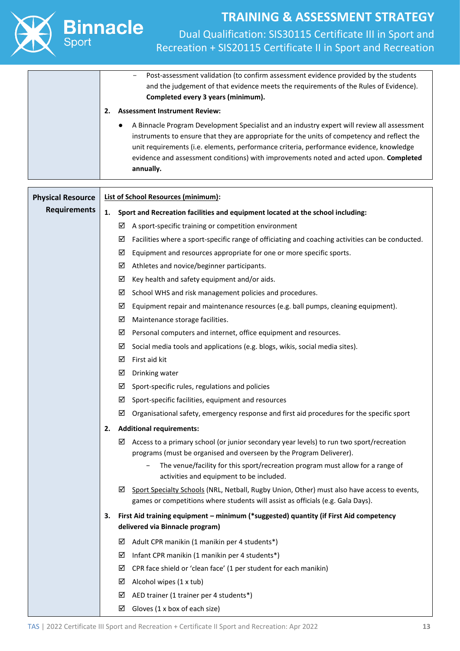

| <b>Physical Resource</b> | <b>List of School Resources (minimum):</b>                                                                                                                                          |  |  |
|--------------------------|-------------------------------------------------------------------------------------------------------------------------------------------------------------------------------------|--|--|
| <b>Requirements</b>      | Sport and Recreation facilities and equipment located at the school including:<br>1.                                                                                                |  |  |
|                          | A sport-specific training or competition environment<br>⊻                                                                                                                           |  |  |
|                          | ☑<br>Facilities where a sport-specific range of officiating and coaching activities can be conducted.                                                                               |  |  |
|                          | ☑<br>Equipment and resources appropriate for one or more specific sports.                                                                                                           |  |  |
|                          | Athletes and novice/beginner participants.<br>☑                                                                                                                                     |  |  |
|                          | ☑<br>Key health and safety equipment and/or aids.                                                                                                                                   |  |  |
|                          | School WHS and risk management policies and procedures.<br>⊻                                                                                                                        |  |  |
|                          | Equipment repair and maintenance resources (e.g. ball pumps, cleaning equipment).<br>⊻                                                                                              |  |  |
|                          | ☑<br>Maintenance storage facilities.                                                                                                                                                |  |  |
|                          | Personal computers and internet, office equipment and resources.<br>⊻                                                                                                               |  |  |
|                          | Social media tools and applications (e.g. blogs, wikis, social media sites).<br>⊻                                                                                                   |  |  |
|                          | $\boxtimes$ First aid kit                                                                                                                                                           |  |  |
|                          | ☑<br>Drinking water                                                                                                                                                                 |  |  |
|                          | $\boxtimes$ Sport-specific rules, regulations and policies                                                                                                                          |  |  |
|                          | $\boxtimes$ Sport-specific facilities, equipment and resources                                                                                                                      |  |  |
|                          | Organisational safety, emergency response and first aid procedures for the specific sport<br>⊻                                                                                      |  |  |
|                          | <b>Additional requirements:</b><br>2.                                                                                                                                               |  |  |
|                          | ☑<br>Access to a primary school (or junior secondary year levels) to run two sport/recreation<br>programs (must be organised and overseen by the Program Deliverer).                |  |  |
|                          | The venue/facility for this sport/recreation program must allow for a range of<br>$\qquad \qquad -$<br>activities and equipment to be included.                                     |  |  |
|                          | Sport Specialty Schools (NRL, Netball, Rugby Union, Other) must also have access to events,<br>☑<br>games or competitions where students will assist as officials (e.g. Gala Days). |  |  |
|                          | First Aid training equipment - minimum (*suggested) quantity (if First Aid competency<br>З.<br>delivered via Binnacle program)                                                      |  |  |
|                          | Adult CPR manikin (1 manikin per 4 students*)<br>⊻                                                                                                                                  |  |  |
|                          | Infant CPR manikin (1 manikin per 4 students*)<br>⊻                                                                                                                                 |  |  |
|                          | CPR face shield or 'clean face' (1 per student for each manikin)<br>☑                                                                                                               |  |  |
|                          | Alcohol wipes (1 x tub)<br>☑                                                                                                                                                        |  |  |
|                          | AED trainer (1 trainer per 4 students*)<br>☑                                                                                                                                        |  |  |
|                          | Gloves (1 x box of each size)<br>☑                                                                                                                                                  |  |  |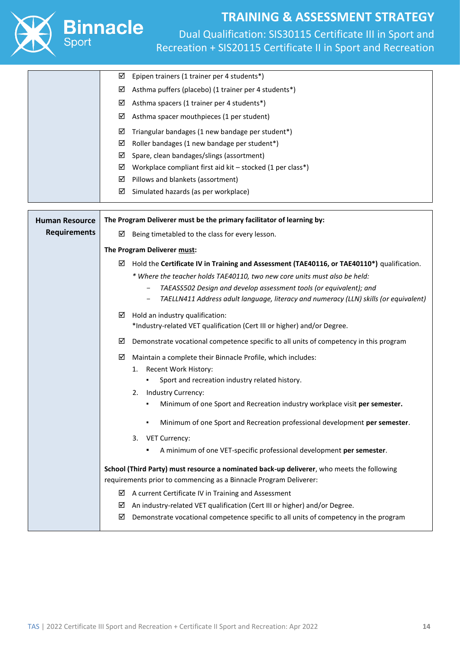

|                       | Epipen trainers (1 trainer per 4 students*)<br>☑                                                |  |
|-----------------------|-------------------------------------------------------------------------------------------------|--|
|                       | Asthma puffers (placebo) (1 trainer per 4 students*)<br>☑                                       |  |
|                       | Asthma spacers (1 trainer per 4 students*)<br>☑                                                 |  |
|                       | ☑<br>Asthma spacer mouthpieces (1 per student)                                                  |  |
|                       | Triangular bandages (1 new bandage per student*)<br>☑                                           |  |
|                       | Roller bandages (1 new bandage per student*)<br>☑                                               |  |
|                       | Spare, clean bandages/slings (assortment)<br>☑                                                  |  |
|                       | Workplace compliant first aid kit - stocked (1 per class*)<br>☑                                 |  |
|                       | ☑<br>Pillows and blankets (assortment)                                                          |  |
|                       | Simulated hazards (as per workplace)<br>☑                                                       |  |
| <b>Human Resource</b> | The Program Deliverer must be the primary facilitator of learning by:                           |  |
| <b>Requirements</b>   |                                                                                                 |  |
|                       | Being timetabled to the class for every lesson.<br>⊻                                            |  |
|                       | The Program Deliverer must:                                                                     |  |
|                       | Hold the Certificate IV in Training and Assessment (TAE40116, or TAE40110*) qualification.<br>⊻ |  |
|                       | * Where the teacher holds TAE40110, two new core units must also be held:                       |  |
|                       | TAEASS502 Design and develop assessment tools (or equivalent); and                              |  |
|                       | TAELLN411 Address adult language, literacy and numeracy (LLN) skills (or equivalent)            |  |
|                       | Hold an industry qualification:<br>⊻                                                            |  |
|                       | *Industry-related VET qualification (Cert III or higher) and/or Degree.                         |  |
|                       | Demonstrate vocational competence specific to all units of competency in this program<br>☑      |  |
|                       | ☑<br>Maintain a complete their Binnacle Profile, which includes:                                |  |
|                       | Recent Work History:<br>1.                                                                      |  |
|                       | Sport and recreation industry related history.                                                  |  |
|                       | Industry Currency:<br>2.                                                                        |  |
|                       | Minimum of one Sport and Recreation industry workplace visit per semester.                      |  |
|                       | Minimum of one Sport and Recreation professional development per semester.<br>٠                 |  |
|                       | 3.<br><b>VET Currency:</b>                                                                      |  |
|                       | A minimum of one VET-specific professional development per semester.                            |  |
|                       | School (Third Party) must resource a nominated back-up deliverer, who meets the following       |  |
|                       | requirements prior to commencing as a Binnacle Program Deliverer:                               |  |
|                       | A current Certificate IV in Training and Assessment<br>☑                                        |  |
|                       | An industry-related VET qualification (Cert III or higher) and/or Degree.<br>⊻                  |  |
|                       | Demonstrate vocational competence specific to all units of competency in the program<br>☑       |  |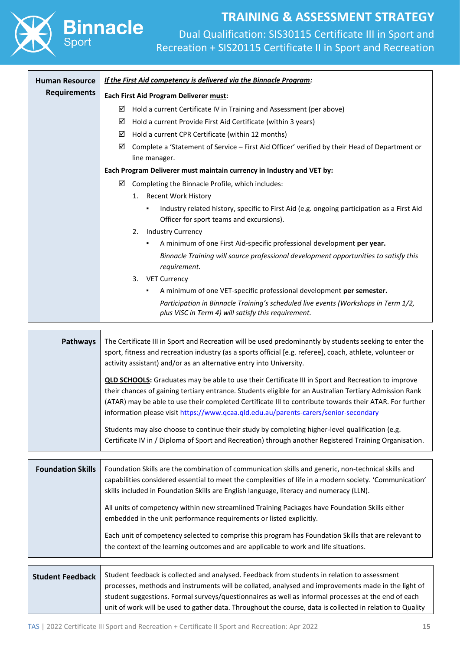Dual Qualification: SIS30115 Certificate III in Sport and Recreation + SIS20115 Certificate II in Sport and Recreation

| <b>Human Resource</b> | If the First Aid competency is delivered via the Binnacle Program:                                                                          |  |  |
|-----------------------|---------------------------------------------------------------------------------------------------------------------------------------------|--|--|
| <b>Requirements</b>   | Each First Aid Program Deliverer must:                                                                                                      |  |  |
|                       | Hold a current Certificate IV in Training and Assessment (per above)<br>☑                                                                   |  |  |
|                       | ☑<br>Hold a current Provide First Aid Certificate (within 3 years)                                                                          |  |  |
|                       | ☑<br>Hold a current CPR Certificate (within 12 months)                                                                                      |  |  |
|                       | ☑<br>Complete a 'Statement of Service – First Aid Officer' verified by their Head of Department or                                          |  |  |
|                       | line manager.                                                                                                                               |  |  |
|                       | Each Program Deliverer must maintain currency in Industry and VET by:                                                                       |  |  |
|                       | ☑<br>Completing the Binnacle Profile, which includes:                                                                                       |  |  |
|                       | Recent Work History<br>1.                                                                                                                   |  |  |
|                       | Industry related history, specific to First Aid (e.g. ongoing participation as a First Aid<br>٠<br>Officer for sport teams and excursions). |  |  |
|                       | <b>Industry Currency</b><br>2.                                                                                                              |  |  |
|                       | A minimum of one First Aid-specific professional development per year.<br>٠                                                                 |  |  |
|                       | Binnacle Training will source professional development opportunities to satisfy this<br>requirement.                                        |  |  |
|                       | <b>VET Currency</b><br>3.                                                                                                                   |  |  |
|                       | A minimum of one VET-specific professional development per semester.<br>٠                                                                   |  |  |
|                       | Participation in Binnacle Training's scheduled live events (Workshops in Term 1/2,<br>plus ViSC in Term 4) will satisfy this requirement.   |  |  |
|                       |                                                                                                                                             |  |  |

**Binnacle** 

| <b>Pathways</b> | The Certificate III in Sport and Recreation will be used predominantly by students seeking to enter the<br>sport, fitness and recreation industry (as a sports official [e.g. referee], coach, athlete, volunteer or<br>activity assistant) and/or as an alternative entry into University.                                                                                                                             |
|-----------------|-------------------------------------------------------------------------------------------------------------------------------------------------------------------------------------------------------------------------------------------------------------------------------------------------------------------------------------------------------------------------------------------------------------------------|
|                 | <b>QLD SCHOOLS:</b> Graduates may be able to use their Certificate III in Sport and Recreation to improve<br>their chances of gaining tertiary entrance. Students eligible for an Australian Tertiary Admission Rank<br>(ATAR) may be able to use their completed Certificate III to contribute towards their ATAR. For further<br>information please visit https://www.qcaa.qld.edu.au/parents-carers/senior-secondary |
|                 | Students may also choose to continue their study by completing higher-level qualification (e.g.<br>Certificate IV in / Diploma of Sport and Recreation) through another Registered Training Organisation.                                                                                                                                                                                                               |

| <b>Foundation Skills</b> | Foundation Skills are the combination of communication skills and generic, non-technical skills and<br>capabilities considered essential to meet the complexities of life in a modern society. 'Communication'<br>skills included in Foundation Skills are English language, literacy and numeracy (LLN). |
|--------------------------|-----------------------------------------------------------------------------------------------------------------------------------------------------------------------------------------------------------------------------------------------------------------------------------------------------------|
|                          | All units of competency within new streamlined Training Packages have Foundation Skills either<br>embedded in the unit performance requirements or listed explicitly.                                                                                                                                     |
|                          | Each unit of competency selected to comprise this program has Foundation Skills that are relevant to<br>the context of the learning outcomes and are applicable to work and life situations.                                                                                                              |

**Student Feedback** Student feedback is collected and analysed. Feedback from students in relation to assessment processes, methods and instruments will be collated, analysed and improvements made in the light of student suggestions. Formal surveys/questionnaires as well as informal processes at the end of each unit of work will be used to gather data. Throughout the course, data is collected in relation to Quality